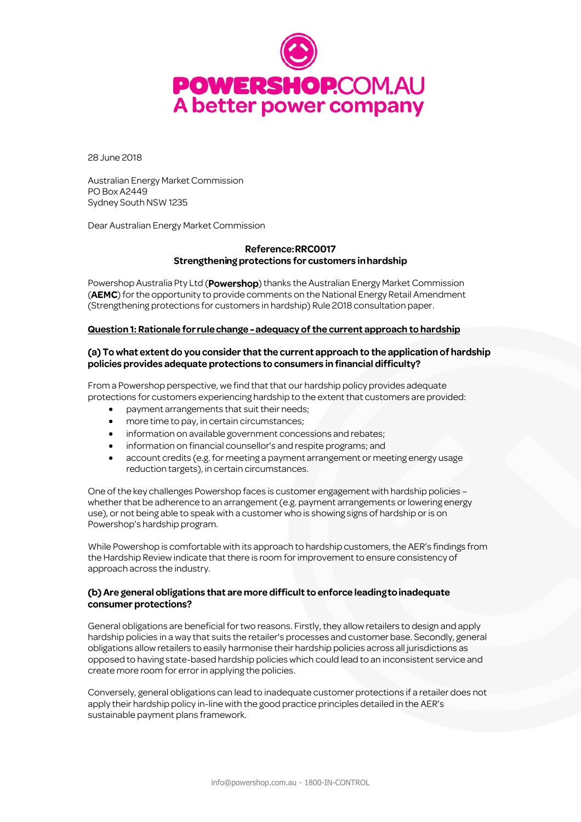

28 June 2018

Australian Energy Market Commission PO Box A2449 Sydney South NSW 1235

Dear Australian Energy Market Commission

# Reference: RRC0017 Strengthening protections for customers in hardship

Powershop Australia Pty Ltd (Powershop) thanks the Australian Energy Market Commission (AEMC) for the opportunity to provide comments on the National Energy Retail Amendment (Strengthening protections for customers in hardship) Rule 2018 consultation paper.

#### Question 1: Rationale for rule change - adequacy of the current approach to hardship

### (a) To what extent do you consider that the current approach to the application of hardship policies provides adequate protections to consumers in financial difficulty?

From a Powershop perspective, we find that that our hardship policy provides adequate protections for customers experiencing hardship to the extent that customers are provided:

- payment arrangements that suit their needs;
- more time to pay, in certain circumstances;
- $\bullet$  information on available government concessions and rebates;
- information on financial counsellor's and respite programs; and
- account credits (e.g. for meeting a payment arrangement or meeting energy usage reduction targets), in certain circumstances.

One of the key challenges Powershop faces is customer engagement with hardship policies – whether that be adherence to an arrangement (e.g. payment arrangements or lowering energy use), or not being able to speak with a customer who is showing signs of hardship or is on Powershop's hardship program.

While Powershop is comfortable with its approach to hardship customers, the AER's findings from the Hardship Review indicate that there is room for improvement to ensure consistency of approach across the industry.

# (b) Are general obligations that are more difficult to enforce leading to inadequate consumer protections?

General obligations are beneficial for two reasons. Firstly, they allow retailers to design and apply hardship policies in a way that suits the retailer's processes and customer base. Secondly, general obligations allow retailers to easily harmonise their hardship policies across all jurisdictions as opposed to having state-based hardship policies which could lead to an inconsistent service and create more room for error in applying the policies.

Conversely, general obligations can lead to inadequate customer protections if a retailer does not apply their hardship policy in-linewith the good practice principles detailed in the AER's sustainable payment plans framework.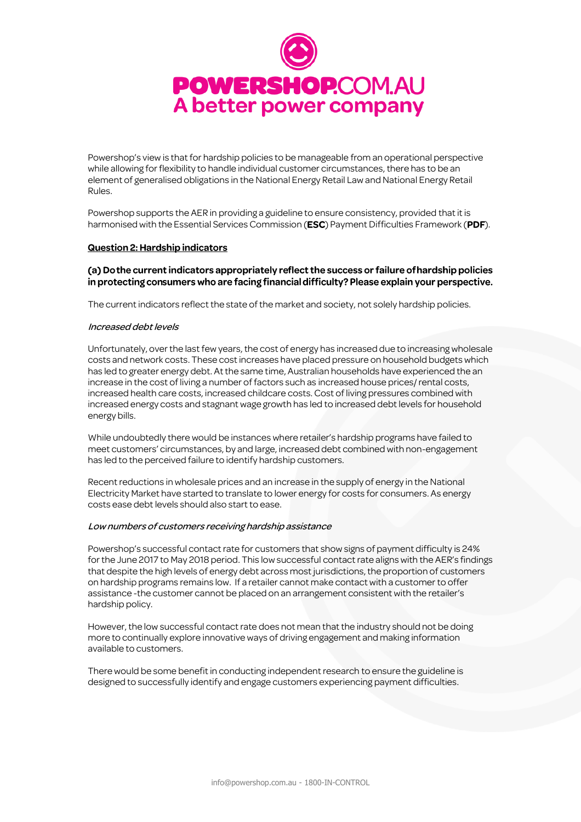

Powershop's view is that for hardship policies to be manageable from an operational perspective while allowing for flexibility to handle individual customer circumstances, there has to be an element of generalised obligations in the National Energy Retail Law and National Energy Retail Rules.

Powershop supports the AER in providing a guideline to ensure consistency, provided that it is harmonised with the Essential Services Commission (ESC) Payment Difficulties Framework (PDF).

#### **Question 2: Hardship indicators**

#### (a) Do the current indicators appropriately reflect the success or failure of hardship policies in protecting consumers who are facing financial difficulty? Please explain your perspective.

The current indicators reflect the state of the market and society, not solely hardship policies.

#### Increased debt levels

Unfortunately, over the last few years, the cost of energy has increased due to increasing wholesale costs and network costs. These cost increases have placed pressure on household budgets which has led to greater energy debt. At the same time, Australian households have experienced the an increase in the cost of living a number of factors such as increased house prices/ rental costs, increased health care costs, increased childcare costs. Cost of living pressures combined with increased energy costs and stagnant wage growth has led to increased debt levels for household energy bills.

While undoubtedly there would be instances where retailer's hardship programs have failed to meet customers' circumstances, by and large, increased debt combined with non-engagement has led to the perceived failure to identify hardship customers.

Recent reductions in wholesale prices and an increase in the supply of energy in the National Electricity Market have started to translate to lower energy for costs for consumers. As energy costs ease debt levels should also start to ease.

#### Low numbers of customers receiving hardship assistance

Powershop's successful contact rate for customers that show signs of payment difficulty is 24% for the June 2017 to May 2018 period. This low successful contact rate aligns with the AER's findings that despite the high levels of energy debt across most jurisdictions, the proportion of customers on hardship programs remains low. If a retailer cannot make contact with a customer to offer assistance -the customer cannot be placed on an arrangement consistent with the retailer's hardship policy.

However, the low successful contact rate does not mean that the industry should not be doing more to continually explore innovative ways of driving engagement and making information available to customers.

There would be some benefit in conducting independent research to ensure the guideline is designed to successfully identify and engage customers experiencing payment difficulties.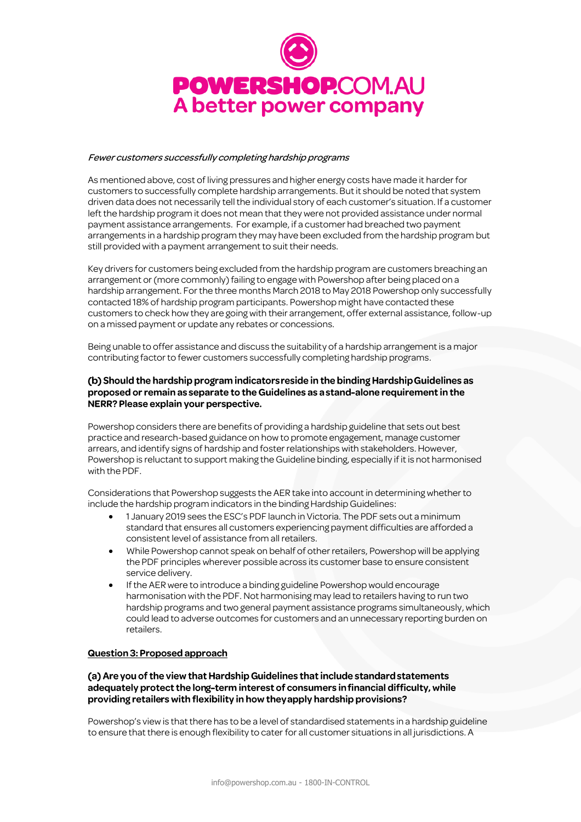

#### Fewer customers successfully completing hardship programs

As mentioned above, cost of living pressures and higher energy costs have made it harder for customers to successfully complete hardship arrangements. But it should be noted that system driven data does not necessarily tell the individual story of each customer's situation. If a customer left the hardship program it does not mean that they were not provided assistance under normal payment assistance arrangements. For example, if a customer had breached two payment arrangements in a hardship program they may have been excluded from the hardship program but still provided with a payment arrangement to suit their needs.

Key drivers for customers being excluded from the hardship program are customers breaching an arrangement or (more commonly) failing to engage with Powershop after being placed on a hardship arrangement. For the three months March 2018 to May 2018 Powershop only successfully contacted 18% of hardship program participants. Powershop might have contacted these customers to check how they are going with their arrangement, offer external assistance, follow-up on a missed payment or update any rebates or concessions.

Being unable to offer assistance and discuss the suitability of a hardship arrangement is a major contributing factor to fewer customers successfully completing hardship programs.

### (b) Should the hardship program indicators reside in the binding Hardship Guidelines as proposed or remain as separate to the Guidelines as a stand-alone requirement in the NERR? Please explain your perspective.

Powershop considers there are benefits of providing a hardship guideline that sets out best practice and research-based guidance on how to promote engagement, manage customer arrears, and identify signs of hardship and foster relationships with stakeholders. However, Powershop is reluctant to support making the Guideline binding, especially if it is not harmonised with the PDF.

Considerations that Powershop suggests the AER take into account in determining whether to include the hardship program indicators in the binding Hardship Guidelines:

- 1 January 2019 sees the ESC's PDF launch in Victoria. The PDF sets out a minimum standard that ensures all customers experiencing payment difficulties are afforded a consistent level of assistance from all retailers.
- While Powershop cannot speak on behalf of other retailers, Powershop will be applying the PDF principles wherever possible across its customer base to ensure consistent service delivery.
- If the AER were to introduce a binding guideline Powershop would encourage harmonisation with the PDF. Not harmonising may lead to retailers having to run two hardship programs and two general payment assistance programs simultaneously, which could lead to adverse outcomes for customers and an unnecessary reporting burden on retailers.

#### Question 3: Proposed approach

# (a) Are you of the view that Hardship Guidelines that include standard statements adequately protect the long-term interest of consumers in financial difficulty, while providing retailers with flexibility in how they apply hardship provisions?

Powershop's view is that there has to be a level of standardised statements in a hardship guideline to ensure that there is enough flexibility to cater for all customer situations in all jurisdictions. A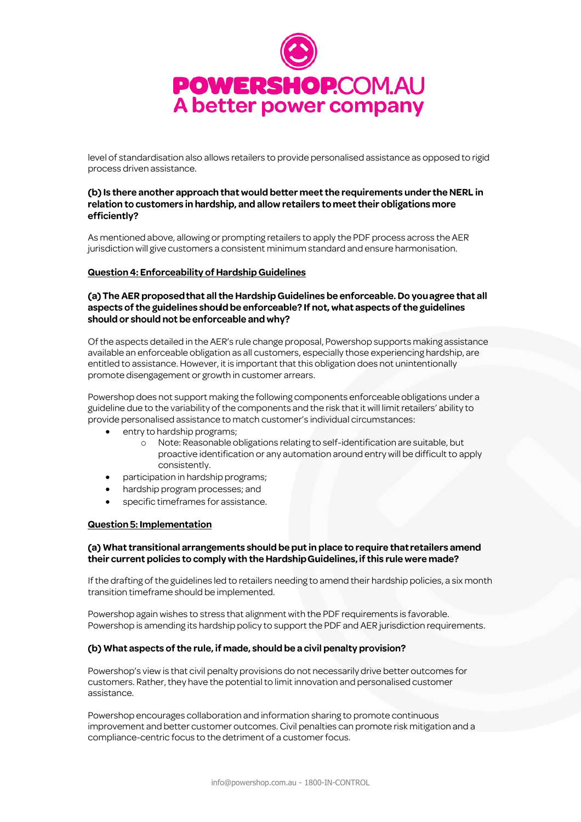

level of standardisation also allows retailers to provide personalised assistance as opposed to rigid process driven assistance.

# (b) Is there another approach that would better meet the requirements under the NERL in relation to customers in hardship, and allow retailers to meet their obligations more efficiently?

As mentioned above, allowing or prompting retailers to apply the PDF process across the AER jurisdiction will give customers a consistent minimum standard and ensure harmonisation.

### Question 4: Enforceability of Hardship Guidelines

### (a) The AER proposed that all the Hardship Guidelines be enforceable. Do you agree that all aspects of the guidelines should be enforceable? If not, what aspects of the guidelines should or should not be enforceable and why?

Of the aspects detailed in the AER's rule change proposal, Powershop supports making assistance available an enforceable obligation as all customers, especially those experiencing hardship, are entitled to assistance. However, it is important that this obligation does not unintentionally promote disengagement or growth in customer arrears.

Powershop does not support making the following components enforceable obligations under a guideline due to the variability of the components and the risk that it will limit retailers' ability to provide personalised assistance to match customer's individual circumstances:

- entry to hardship programs;
	- o Note: Reasonable obligations relating to self-identification are suitable, but proactive identification or any automation around entry will be difficult to apply consistently.
- participation in hardship programs;
- hardship program processes; and
- specific timeframes for assistance.

#### **Question 5: Implementation**

### (a) What transitional arrangements should be put in place to require that retailers amend their current policies to comply with the Hardship Guidelines, if this rule were made?

If the drafting of the guidelines led to retailers needing to amend their hardship policies, a six month transition timeframe should be implemented.

Powershop again wishes to stress that alignment with the PDF requirements is favorable. Powershop is amending its hardship policy to support the PDF and AER jurisdiction requirements.

#### (b) What aspects of the rule, if made, should be a civil penalty provision?

Powershop's view is that civil penalty provisions do not necessarily drive better outcomes for customers. Rather, they have the potential to limit innovation and personalised customer assistance.

Powershop encourages collaboration and information sharing to promote continuous improvement and better customer outcomes. Civil penalties can promote risk mitigation and a compliance-centric focus to the detriment of a customer focus.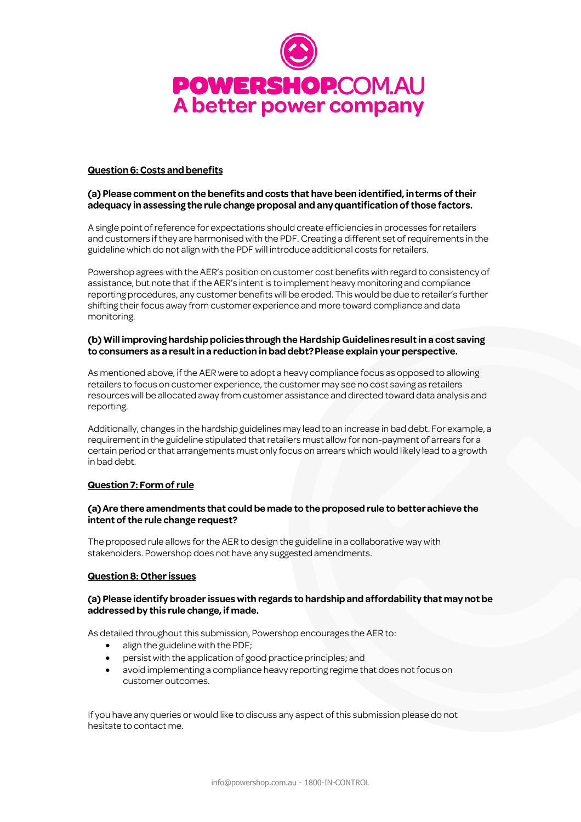

### **Question 6: Costs and benefits**

# (a) Please comment on the benefits and costs that have been identified, in terms of their adequacy in assessing the rule change proposal and any quantification of those factors.

A single point of reference for expectations should create efficiencies in processes for retailers and customers ifthey are harmonised with the PDF. Creating a different set of requirements in the guideline which do not align with the PDF will introduce additional costs for retailers.

Powershop agrees with the AER's position on customer cost benefits with regard to consistency of assistance, but note that if the AER's intent is to implement heavy monitoring and compliance reporting procedures, any customer benefits will be eroded. This would be due to retailer's further shifting their focus away from customer experience and more toward compliance and data monitoring.

# (b) Will improving hardship policies through the Hardship Guidelines result in a cost saving to consumers as a result in a reduction in bad debt? Please explain your perspective.

As mentioned above, if the AER were to adopt a heavy compliance focus as opposed to allowing retailers to focus on customer experience, the customer may see no cost saving as retailers resources will be allocated away from customer assistance and directed toward data analysis and reporting.

Additionally, changes in the hardship guidelines may lead to an increase in bad debt. For example, a requirement in the guideline stipulated that retailers must allow for non-payment of arrears for a certain period or that arrangements must only focus on arrears which would likely lead to a growth in bad debt.

# Question 7: Form of rule

# (a) Are there amendments that could be made to the proposed rule to better achieve the intent of the rule change request?

The proposed rule allows for the AER to design the guideline in a collaborative way with stakeholders. Powershop does not have any suggested amendments.

# **Question 8: Other issues**

#### (a) Please identify broader issues with regards to hardship and affordability that may not be addressed by this rule change, if made.

As detailed throughout this submission, Powershop encourages the AER to:

- align the guideline with the PDF;
- persist with the application of good practice principles; and
- avoid implementing a compliance heavy reporting regime that does not focus on customer outcomes.

If you have any queries or would like to discuss any aspect ofthis submission please do not hesitate to contact me.